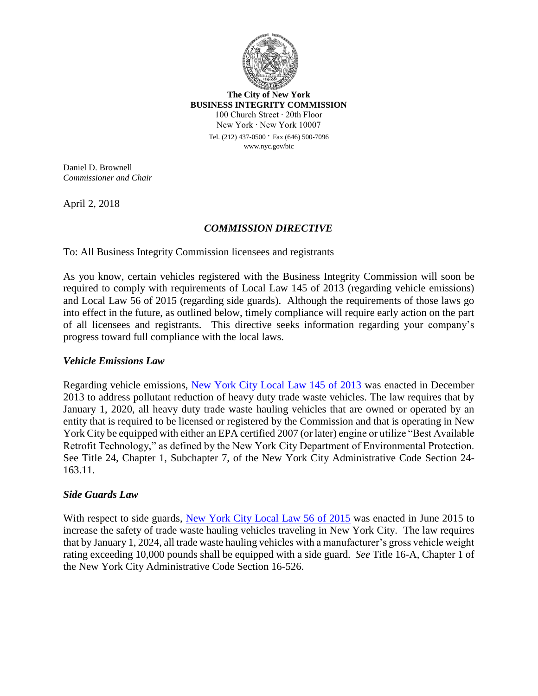

**The City of New York BUSINESS INTEGRITY COMMISSION** 100 Church Street ∙ 20th Floor New York ∙ New York 10007

> Tel. (212) 437-0500 ∙ Fax (646) 500-7096 www.nyc.gov/bic

Daniel D. Brownell *Commissioner and Chair*

April 2, 2018

# *COMMISSION DIRECTIVE*

To: All Business Integrity Commission licensees and registrants

As you know, certain vehicles registered with the Business Integrity Commission will soon be required to comply with requirements of Local Law 145 of 2013 (regarding vehicle emissions) and Local Law 56 of 2015 (regarding side guards). Although the requirements of those laws go into effect in the future, as outlined below, timely compliance will require early action on the part of all licensees and registrants. This directive seeks information regarding your company's progress toward full compliance with the local laws.

### *Vehicle Emissions Law*

Regarding vehicle emissions, [New York City Local Law 145 of 2013](http://www1.nyc.gov/assets/bic/downloads/pdf/regulations/local_law_145.pdf) was enacted in December 2013 to address pollutant reduction of heavy duty trade waste vehicles. The law requires that by January 1, 2020, all heavy duty trade waste hauling vehicles that are owned or operated by an entity that is required to be licensed or registered by the Commission and that is operating in New York City be equipped with either an EPA certified 2007 (or later) engine or utilize "Best Available Retrofit Technology," as defined by the New York City Department of Environmental Protection. See Title 24, Chapter 1, Subchapter 7, of the New York City Administrative Code Section 24- 163.11.

### *Side Guards Law*

With respect to side guards, [New York City Local Law 56](http://www1.nyc.gov/assets/bic/downloads/pdf/regulations/local_law_56.pdf) of 2015 was enacted in June 2015 to increase the safety of trade waste hauling vehicles traveling in New York City. The law requires that by January 1, 2024, all trade waste hauling vehicles with a manufacturer's gross vehicle weight rating exceeding 10,000 pounds shall be equipped with a side guard. *See* Title 16-A, Chapter 1 of the New York City Administrative Code Section 16-526.